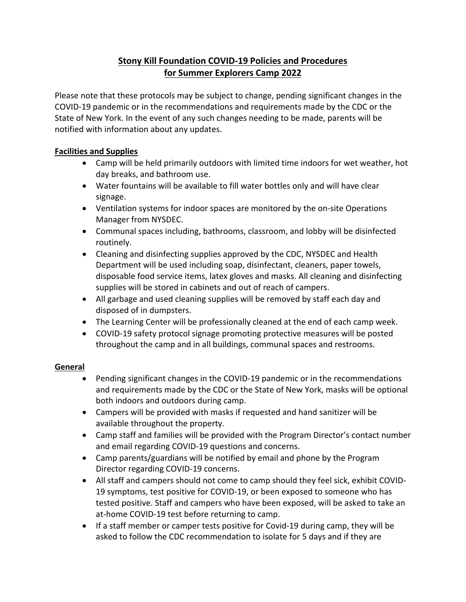# **Stony Kill Foundation COVID-19 Policies and Procedures for Summer Explorers Camp 2022**

Please note that these protocols may be subject to change, pending significant changes in the COVID-19 pandemic or in the recommendations and requirements made by the CDC or the State of New York. In the event of any such changes needing to be made, parents will be notified with information about any updates.

## **Facilities and Supplies**

- Camp will be held primarily outdoors with limited time indoors for wet weather, hot day breaks, and bathroom use.
- Water fountains will be available to fill water bottles only and will have clear signage.
- Ventilation systems for indoor spaces are monitored by the on-site Operations Manager from NYSDEC.
- Communal spaces including, bathrooms, classroom, and lobby will be disinfected routinely.
- Cleaning and disinfecting supplies approved by the CDC, NYSDEC and Health Department will be used including soap, disinfectant, cleaners, paper towels, disposable food service items, latex gloves and masks. All cleaning and disinfecting supplies will be stored in cabinets and out of reach of campers.
- All garbage and used cleaning supplies will be removed by staff each day and disposed of in dumpsters.
- The Learning Center will be professionally cleaned at the end of each camp week.
- COVID-19 safety protocol signage promoting protective measures will be posted throughout the camp and in all buildings, communal spaces and restrooms.

#### **General**

- Pending significant changes in the COVID-19 pandemic or in the recommendations and requirements made by the CDC or the State of New York, masks will be optional both indoors and outdoors during camp.
- Campers will be provided with masks if requested and hand sanitizer will be available throughout the property.
- Camp staff and families will be provided with the Program Director's contact number and email regarding COVID-19 questions and concerns.
- Camp parents/guardians will be notified by email and phone by the Program Director regarding COVID-19 concerns.
- All staff and campers should not come to camp should they feel sick, exhibit COVID-19 symptoms, test positive for COVID-19, or been exposed to someone who has tested positive. Staff and campers who have been exposed, will be asked to take an at-home COVID-19 test before returning to camp.
- If a staff member or camper tests positive for Covid-19 during camp, they will be asked to follow the CDC recommendation to isolate for 5 days and if they are